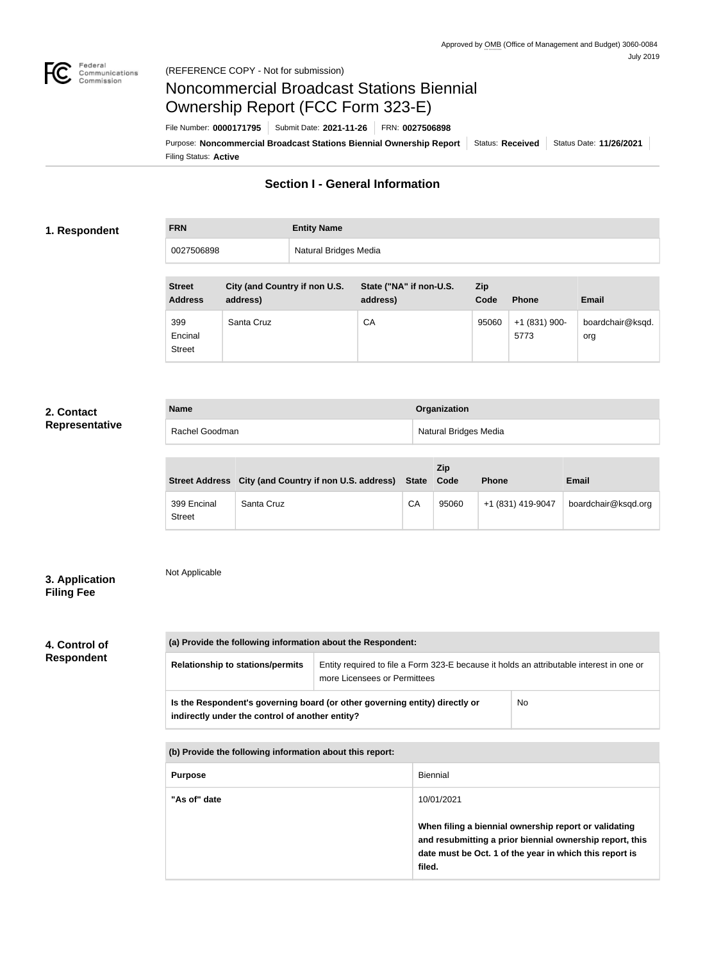

## Noncommercial Broadcast Stations Biennial Ownership Report (FCC Form 323-E)

Filing Status: **Active** Purpose: Noncommercial Broadcast Stations Biennial Ownership Report | Status: Received | Status Date: 11/26/2021 File Number: **0000171795** Submit Date: **2021-11-26** FRN: **0027506898**

## **Section I - General Information**

#### **1. Respondent**

| <b>FRN</b> | <b>Entity Name</b>    |
|------------|-----------------------|
| 0027506898 | Natural Bridges Media |

| <b>Street</b><br><b>Address</b> | City (and Country if non U.S.<br>address) | State ("NA" if non-U.S.<br>address) | Zip<br>Code | <b>Phone</b>           | <b>Email</b>            |
|---------------------------------|-------------------------------------------|-------------------------------------|-------------|------------------------|-------------------------|
| 399<br>Encinal<br><b>Street</b> | Santa Cruz                                | CA                                  | 95060       | $+1(831)$ 900-<br>5773 | boardchair@ksqd.<br>org |

#### **2. Contact Representative**

| <b>Name</b>    | Organization          |
|----------------|-----------------------|
| Rachel Goodman | Natural Bridges Media |

|                              | Street Address City (and Country if non U.S. address) State |    | Zip<br>Code | <b>Phone</b>      | Email               |
|------------------------------|-------------------------------------------------------------|----|-------------|-------------------|---------------------|
| 399 Encinal<br><b>Street</b> | Santa Cruz                                                  | CA | 95060       | +1 (831) 419-9047 | boardchair@ksqd.org |

### **3. Application Filing Fee**

## Not Applicable

# **4. Control of**

## **Respondent**

| (a) Provide the following information about the Respondent:                                                                    |                                                                                                                          |           |  |
|--------------------------------------------------------------------------------------------------------------------------------|--------------------------------------------------------------------------------------------------------------------------|-----------|--|
| <b>Relationship to stations/permits</b>                                                                                        | Entity required to file a Form 323-E because it holds an attributable interest in one or<br>more Licensees or Permittees |           |  |
| Is the Respondent's governing board (or other governing entity) directly or<br>indirectly under the control of another entity? |                                                                                                                          | <b>No</b> |  |

**(b) Provide the following information about this report:**

| <b>Purpose</b> | <b>Biennial</b>                                                                                                                                                                        |
|----------------|----------------------------------------------------------------------------------------------------------------------------------------------------------------------------------------|
| "As of" date   | 10/01/2021                                                                                                                                                                             |
|                | When filing a biennial ownership report or validating<br>and resubmitting a prior biennial ownership report, this<br>date must be Oct. 1 of the year in which this report is<br>filed. |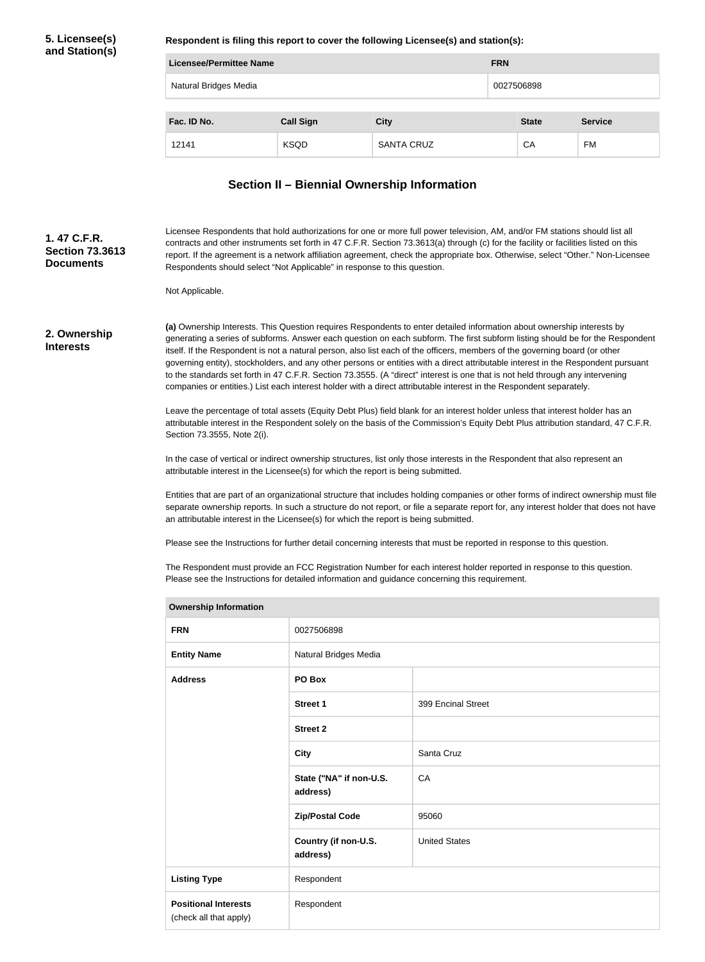### **5. Licensee(s) and Station(s)**

**Respondent is filing this report to cover the following Licensee(s) and station(s):**

| Licensee/Permittee Name |                  |                   |            | <b>FRN</b>   |                |  |
|-------------------------|------------------|-------------------|------------|--------------|----------------|--|
| Natural Bridges Media   |                  |                   | 0027506898 |              |                |  |
| Fac. ID No.             | <b>Call Sign</b> | <b>City</b>       |            | <b>State</b> | <b>Service</b> |  |
| 12141                   | <b>KSQD</b>      | <b>SANTA CRUZ</b> |            | СA           | <b>FM</b>      |  |

## **Section II – Biennial Ownership Information**

| 1.47 C.F.R.<br><b>Section 73.3613</b><br><b>Documents</b> | Licensee Respondents that hold authorizations for one or more full power television, AM, and/or FM stations should list all<br>contracts and other instruments set forth in 47 C.F.R. Section 73.3613(a) through (c) for the facility or facilities listed on this<br>report. If the agreement is a network affiliation agreement, check the appropriate box. Otherwise, select "Other." Non-Licensee<br>Respondents should select "Not Applicable" in response to this question.                                                                                                                                                                                                                                                                                                   |
|-----------------------------------------------------------|-------------------------------------------------------------------------------------------------------------------------------------------------------------------------------------------------------------------------------------------------------------------------------------------------------------------------------------------------------------------------------------------------------------------------------------------------------------------------------------------------------------------------------------------------------------------------------------------------------------------------------------------------------------------------------------------------------------------------------------------------------------------------------------|
|                                                           | Not Applicable.                                                                                                                                                                                                                                                                                                                                                                                                                                                                                                                                                                                                                                                                                                                                                                     |
| 2. Ownership<br><b>Interests</b>                          | (a) Ownership Interests. This Question requires Respondents to enter detailed information about ownership interests by<br>generating a series of subforms. Answer each question on each subform. The first subform listing should be for the Respondent<br>itself. If the Respondent is not a natural person, also list each of the officers, members of the governing board (or other<br>governing entity), stockholders, and any other persons or entities with a direct attributable interest in the Respondent pursuant<br>to the standards set forth in 47 C.F.R. Section 73.3555. (A "direct" interest is one that is not held through any intervening<br>companies or entities.) List each interest holder with a direct attributable interest in the Respondent separately. |
|                                                           | Leave the percentage of total assets (Equity Debt Plus) field blank for an interest holder unless that interest holder has an<br>attributable interest in the Respondent solely on the basis of the Commission's Equity Debt Plus attribution standard, 47 C.F.R.<br>Section 73.3555, Note 2(i).                                                                                                                                                                                                                                                                                                                                                                                                                                                                                    |
|                                                           | In the case of vertical or indirect ownership structures, list only those interests in the Respondent that also represent an<br>attributable interest in the Licensee(s) for which the report is being submitted.                                                                                                                                                                                                                                                                                                                                                                                                                                                                                                                                                                   |
|                                                           | Entities that are part of an organizational structure that includes holding companies or other forms of indirect ownership must file<br>separate ownership reports. In such a structure do not report, or file a separate report for, any interest holder that does not have<br>an attributable interest in the Licensee(s) for which the report is being submitted.                                                                                                                                                                                                                                                                                                                                                                                                                |
|                                                           | Please see the Instructions for further detail concerning interests that must be reported in response to this question.                                                                                                                                                                                                                                                                                                                                                                                                                                                                                                                                                                                                                                                             |
|                                                           | The Respondent must provide an FCC Registration Number for each interest holder reported in response to this question.<br>Please see the Instructions for detailed information and guidance concerning this requirement.                                                                                                                                                                                                                                                                                                                                                                                                                                                                                                                                                            |

| <b>Ownership Information</b>                          |                                     |                      |  |
|-------------------------------------------------------|-------------------------------------|----------------------|--|
| <b>FRN</b>                                            | 0027506898                          |                      |  |
| <b>Entity Name</b>                                    | Natural Bridges Media               |                      |  |
| <b>Address</b>                                        | PO Box                              |                      |  |
|                                                       | <b>Street 1</b>                     | 399 Encinal Street   |  |
|                                                       | <b>Street 2</b>                     |                      |  |
|                                                       | <b>City</b>                         | Santa Cruz           |  |
|                                                       | State ("NA" if non-U.S.<br>address) | CA                   |  |
|                                                       | <b>Zip/Postal Code</b>              | 95060                |  |
|                                                       | Country (if non-U.S.<br>address)    | <b>United States</b> |  |
| <b>Listing Type</b>                                   | Respondent                          |                      |  |
| <b>Positional Interests</b><br>(check all that apply) | Respondent                          |                      |  |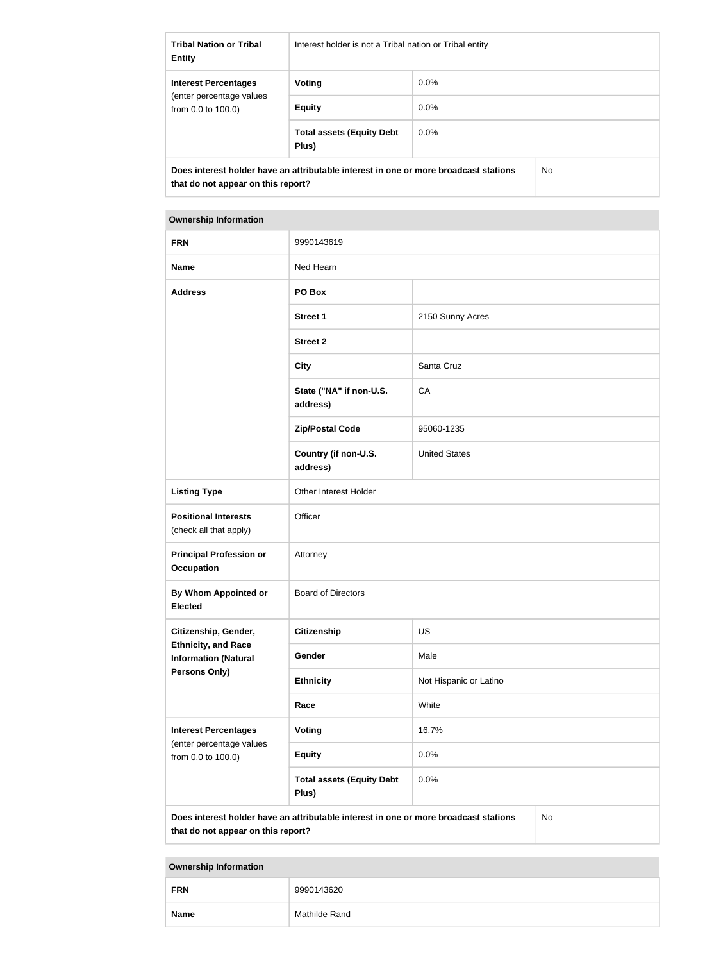| <b>Tribal Nation or Tribal</b><br><b>Entity</b>                                                                                   | Interest holder is not a Tribal nation or Tribal entity |         |  |
|-----------------------------------------------------------------------------------------------------------------------------------|---------------------------------------------------------|---------|--|
| <b>Interest Percentages</b>                                                                                                       | Voting                                                  | $0.0\%$ |  |
| (enter percentage values)<br>from $0.0$ to $100.0$ )                                                                              | <b>Equity</b>                                           | $0.0\%$ |  |
|                                                                                                                                   | <b>Total assets (Equity Debt</b><br>Plus)               | $0.0\%$ |  |
| Does interest holder have an attributable interest in one or more broadcast stations<br>No.<br>that do not appear on this report? |                                                         |         |  |

| <b>Ownership Information</b>                                                                                                            |                                           |                        |  |
|-----------------------------------------------------------------------------------------------------------------------------------------|-------------------------------------------|------------------------|--|
| <b>FRN</b>                                                                                                                              | 9990143619                                |                        |  |
| <b>Name</b>                                                                                                                             | Ned Hearn                                 |                        |  |
| <b>Address</b>                                                                                                                          | PO Box                                    |                        |  |
|                                                                                                                                         | <b>Street 1</b>                           | 2150 Sunny Acres       |  |
|                                                                                                                                         | <b>Street 2</b>                           |                        |  |
|                                                                                                                                         | <b>City</b>                               | Santa Cruz             |  |
|                                                                                                                                         | State ("NA" if non-U.S.<br>address)       | CA                     |  |
|                                                                                                                                         | <b>Zip/Postal Code</b>                    | 95060-1235             |  |
|                                                                                                                                         | Country (if non-U.S.<br>address)          | <b>United States</b>   |  |
| <b>Listing Type</b>                                                                                                                     | Other Interest Holder                     |                        |  |
| <b>Positional Interests</b><br>(check all that apply)                                                                                   | Officer                                   |                        |  |
| <b>Principal Profession or</b><br><b>Occupation</b>                                                                                     | Attorney                                  |                        |  |
| By Whom Appointed or<br><b>Elected</b>                                                                                                  | <b>Board of Directors</b>                 |                        |  |
| Citizenship, Gender,                                                                                                                    | <b>Citizenship</b>                        | <b>US</b>              |  |
| <b>Ethnicity, and Race</b><br><b>Information (Natural</b>                                                                               | Gender                                    | Male                   |  |
| <b>Persons Only)</b>                                                                                                                    | <b>Ethnicity</b>                          | Not Hispanic or Latino |  |
|                                                                                                                                         | Race                                      | White                  |  |
| <b>Interest Percentages</b>                                                                                                             | Voting                                    | 16.7%                  |  |
| (enter percentage values<br>from 0.0 to 100.0)                                                                                          | <b>Equity</b>                             | 0.0%                   |  |
|                                                                                                                                         | <b>Total assets (Equity Debt</b><br>Plus) | 0.0%                   |  |
| Does interest holder have an attributable interest in one or more broadcast stations<br><b>No</b><br>that do not appear on this report? |                                           |                        |  |

## **Ownership Information FRN** 9990143620 **Name** Mathilde Rand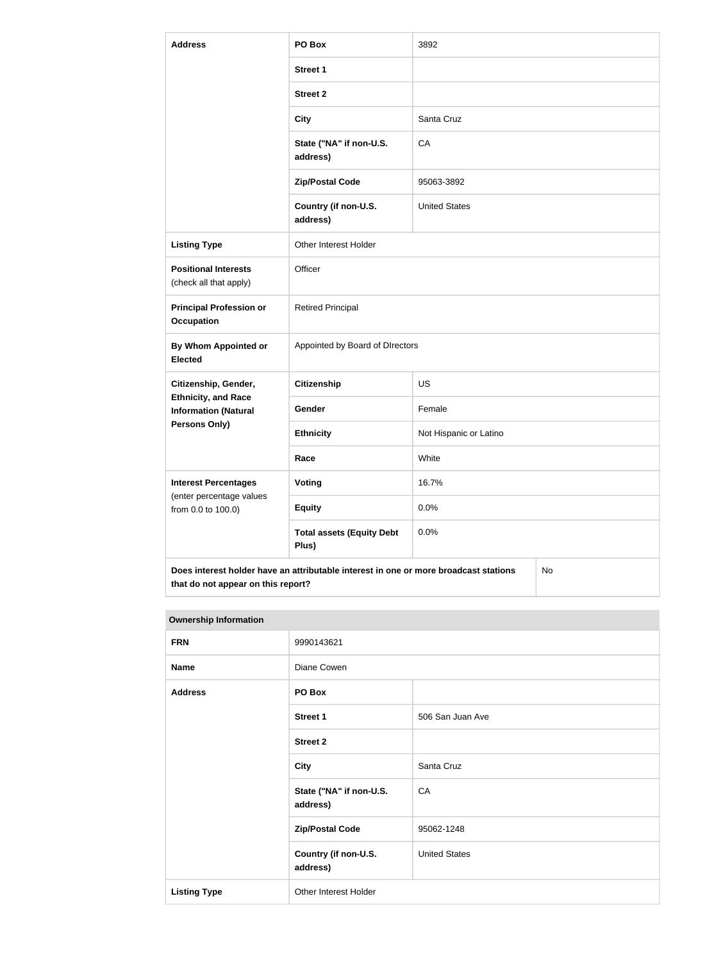| <b>Address</b>                                            | PO Box                                                                               | 3892                   |           |  |
|-----------------------------------------------------------|--------------------------------------------------------------------------------------|------------------------|-----------|--|
|                                                           | <b>Street 1</b>                                                                      |                        |           |  |
|                                                           | <b>Street 2</b>                                                                      |                        |           |  |
|                                                           | <b>City</b>                                                                          | Santa Cruz             |           |  |
|                                                           | State ("NA" if non-U.S.<br>address)                                                  | CA                     |           |  |
|                                                           | <b>Zip/Postal Code</b>                                                               | 95063-3892             |           |  |
|                                                           | Country (if non-U.S.<br>address)                                                     | <b>United States</b>   |           |  |
| <b>Listing Type</b>                                       | Other Interest Holder                                                                |                        |           |  |
| <b>Positional Interests</b><br>(check all that apply)     | Officer                                                                              |                        |           |  |
| <b>Principal Profession or</b><br><b>Occupation</b>       | <b>Retired Principal</b>                                                             |                        |           |  |
| By Whom Appointed or<br><b>Elected</b>                    | Appointed by Board of DIrectors                                                      |                        |           |  |
| Citizenship, Gender,                                      | <b>Citizenship</b>                                                                   | <b>US</b>              |           |  |
| <b>Ethnicity, and Race</b><br><b>Information (Natural</b> | Gender                                                                               | Female                 |           |  |
| Persons Only)                                             | <b>Ethnicity</b>                                                                     | Not Hispanic or Latino |           |  |
|                                                           | Race                                                                                 | White                  |           |  |
| <b>Interest Percentages</b><br>(enter percentage values   | <b>Voting</b>                                                                        | 16.7%                  |           |  |
| from 0.0 to 100.0)                                        | <b>Equity</b>                                                                        | 0.0%                   |           |  |
|                                                           | <b>Total assets (Equity Debt</b><br>Plus)                                            | 0.0%                   |           |  |
| that do not appear on this report?                        | Does interest holder have an attributable interest in one or more broadcast stations |                        | <b>No</b> |  |

| <b>Ownership Information</b> |                                     |                      |
|------------------------------|-------------------------------------|----------------------|
| <b>FRN</b>                   | 9990143621                          |                      |
| <b>Name</b>                  | Diane Cowen                         |                      |
| <b>Address</b>               | PO Box                              |                      |
|                              | <b>Street 1</b>                     | 506 San Juan Ave     |
|                              | <b>Street 2</b>                     |                      |
|                              | <b>City</b>                         | Santa Cruz           |
|                              | State ("NA" if non-U.S.<br>address) | CA                   |
|                              | <b>Zip/Postal Code</b>              | 95062-1248           |
|                              | Country (if non-U.S.<br>address)    | <b>United States</b> |
| <b>Listing Type</b>          | Other Interest Holder               |                      |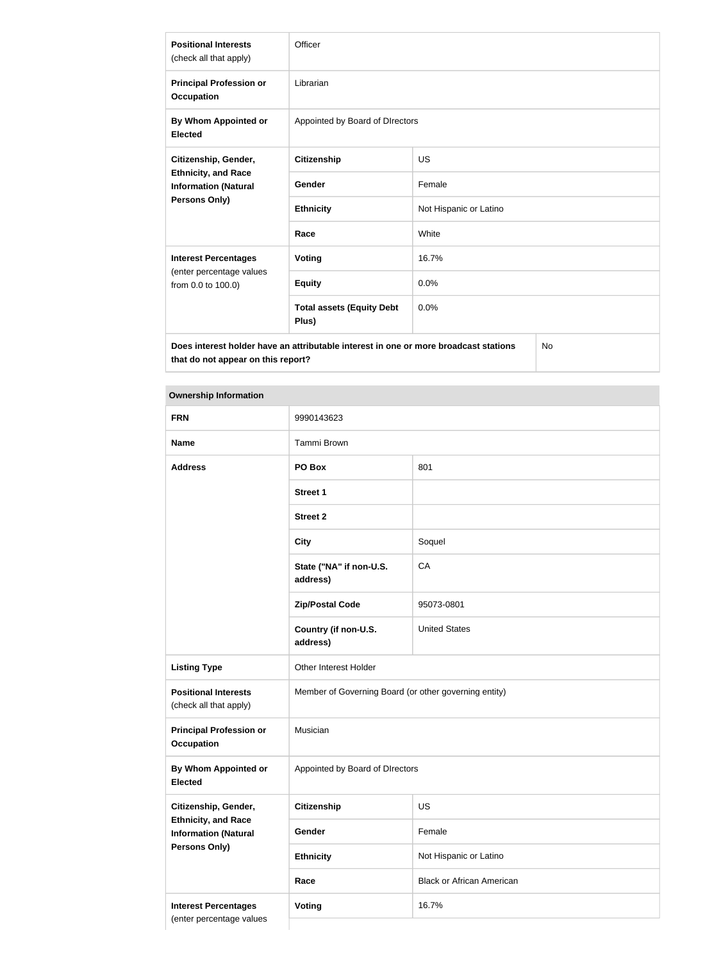| <b>Positional Interests</b><br>(check all that apply)                                              | Officer                                   |                        |  |
|----------------------------------------------------------------------------------------------------|-------------------------------------------|------------------------|--|
| <b>Principal Profession or</b><br><b>Occupation</b>                                                | Librarian                                 |                        |  |
| By Whom Appointed or<br><b>Elected</b>                                                             | Appointed by Board of DIrectors           |                        |  |
| Citizenship, Gender,<br><b>Ethnicity, and Race</b><br><b>Information (Natural</b><br>Persons Only) | <b>Citizenship</b>                        | <b>US</b>              |  |
|                                                                                                    | <b>Gender</b>                             | Female                 |  |
|                                                                                                    | <b>Ethnicity</b>                          | Not Hispanic or Latino |  |
|                                                                                                    | Race                                      | White                  |  |
| <b>Interest Percentages</b><br>(enter percentage values<br>from 0.0 to 100.0)                      | <b>Voting</b>                             | 16.7%                  |  |
|                                                                                                    | <b>Equity</b>                             | 0.0%                   |  |
|                                                                                                    | <b>Total assets (Equity Debt</b><br>Plus) | 0.0%                   |  |
| Does interest holder have an attributable interest in one or more broadcast stations<br>No         |                                           |                        |  |

**Does interest holder have an attributable interest in one or more broadcast stations that do not appear on this report?**

### **Ownership Information**

| <b>FRN</b>                                                                 | 9990143623                                            |                                  |  |
|----------------------------------------------------------------------------|-------------------------------------------------------|----------------------------------|--|
| <b>Name</b>                                                                | Tammi Brown                                           |                                  |  |
| <b>Address</b>                                                             | PO Box                                                | 801                              |  |
|                                                                            | <b>Street 1</b>                                       |                                  |  |
|                                                                            | <b>Street 2</b>                                       |                                  |  |
|                                                                            | <b>City</b>                                           | Soquel                           |  |
|                                                                            | State ("NA" if non-U.S.<br>address)                   | CA                               |  |
|                                                                            | <b>Zip/Postal Code</b>                                | 95073-0801                       |  |
|                                                                            | Country (if non-U.S.<br>address)                      | <b>United States</b>             |  |
| <b>Listing Type</b>                                                        | Other Interest Holder                                 |                                  |  |
| <b>Positional Interests</b><br>(check all that apply)                      | Member of Governing Board (or other governing entity) |                                  |  |
| <b>Principal Profession or</b><br><b>Occupation</b>                        | Musician                                              |                                  |  |
| By Whom Appointed or<br><b>Elected</b>                                     | Appointed by Board of DIrectors                       |                                  |  |
| Citizenship, Gender,                                                       | <b>Citizenship</b>                                    | US                               |  |
| <b>Ethnicity, and Race</b><br><b>Information (Natural</b><br>Persons Only) | Gender                                                | Female                           |  |
|                                                                            | <b>Ethnicity</b>                                      | Not Hispanic or Latino           |  |
|                                                                            | Race                                                  | <b>Black or African American</b> |  |
| <b>Interest Percentages</b>                                                | Voting                                                | 16.7%                            |  |
| (enter percentage values                                                   |                                                       |                                  |  |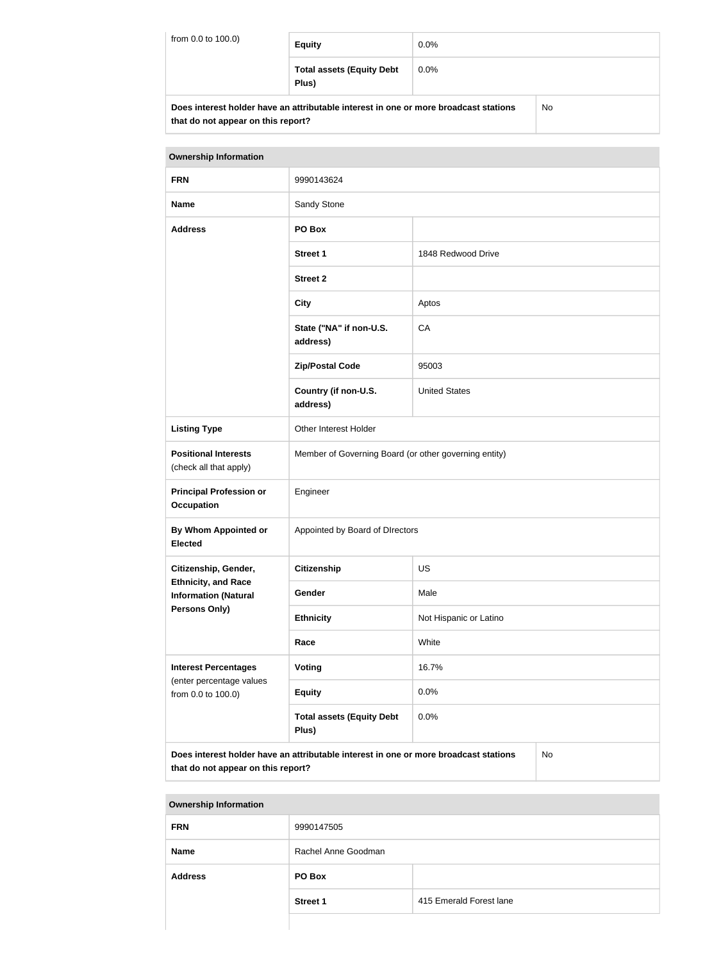| from 0.0 to 100.0) | <b>Equity</b>                                                                        | $0.0\%$ |    |
|--------------------|--------------------------------------------------------------------------------------|---------|----|
|                    | <b>Total assets (Equity Debt</b><br>Plus)                                            | $0.0\%$ |    |
|                    | Does interest holder have an attributable interest in one or more broadcast stations |         | No |

| DUES INCLESI NUMERI NAVE AN AMIDULADIE MICRESI IN ONE OF MORGANIST STANDIS |  |
|----------------------------------------------------------------------------|--|
| that do not appear on this report?                                         |  |

| <b>Ownership Information</b>                                                                                                            |                                                       |                        |  |
|-----------------------------------------------------------------------------------------------------------------------------------------|-------------------------------------------------------|------------------------|--|
| <b>FRN</b>                                                                                                                              | 9990143624                                            |                        |  |
| <b>Name</b>                                                                                                                             | Sandy Stone                                           |                        |  |
| <b>Address</b>                                                                                                                          | PO Box                                                |                        |  |
|                                                                                                                                         | <b>Street 1</b>                                       | 1848 Redwood Drive     |  |
|                                                                                                                                         | <b>Street 2</b>                                       |                        |  |
|                                                                                                                                         | <b>City</b>                                           | Aptos                  |  |
|                                                                                                                                         | State ("NA" if non-U.S.<br>address)                   | CA                     |  |
|                                                                                                                                         | <b>Zip/Postal Code</b>                                | 95003                  |  |
|                                                                                                                                         | Country (if non-U.S.<br>address)                      | <b>United States</b>   |  |
| <b>Listing Type</b>                                                                                                                     | Other Interest Holder                                 |                        |  |
| <b>Positional Interests</b><br>(check all that apply)                                                                                   | Member of Governing Board (or other governing entity) |                        |  |
| <b>Principal Profession or</b><br><b>Occupation</b>                                                                                     | Engineer                                              |                        |  |
| By Whom Appointed or<br><b>Elected</b>                                                                                                  | Appointed by Board of DIrectors                       |                        |  |
| Citizenship, Gender,                                                                                                                    | Citizenship                                           | <b>US</b>              |  |
| <b>Ethnicity, and Race</b><br><b>Information (Natural</b>                                                                               | Gender                                                | Male                   |  |
| <b>Persons Only)</b>                                                                                                                    | <b>Ethnicity</b>                                      | Not Hispanic or Latino |  |
|                                                                                                                                         | White<br>Race                                         |                        |  |
| <b>Interest Percentages</b>                                                                                                             | Voting                                                | 16.7%                  |  |
| (enter percentage values<br>from 0.0 to 100.0)                                                                                          | <b>Equity</b>                                         | 0.0%                   |  |
|                                                                                                                                         | <b>Total assets (Equity Debt</b><br>Plus)             | 0.0%                   |  |
| Does interest holder have an attributable interest in one or more broadcast stations<br><b>No</b><br>that do not appear on this report? |                                                       |                        |  |

| <b>Ownership Information</b> |                     |                         |
|------------------------------|---------------------|-------------------------|
| <b>FRN</b>                   | 9990147505          |                         |
| <b>Name</b>                  | Rachel Anne Goodman |                         |
| <b>Address</b>               | PO Box              |                         |
|                              | <b>Street 1</b>     | 415 Emerald Forest lane |
|                              |                     |                         |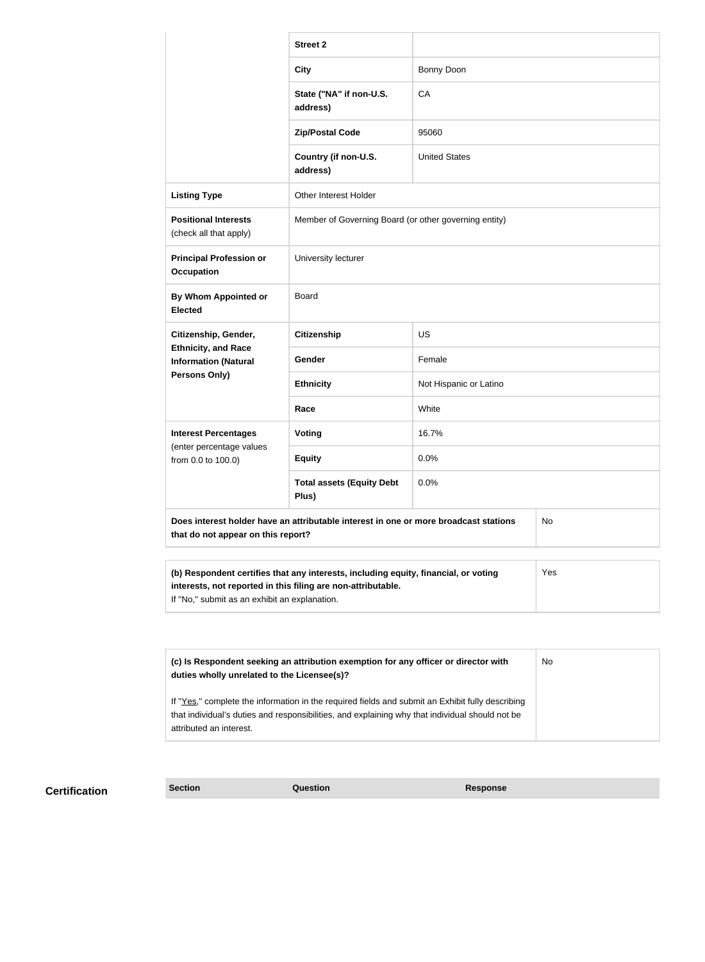|                                                                                                                                                                                                             | <b>Street 2</b>                                       |                        |  |
|-------------------------------------------------------------------------------------------------------------------------------------------------------------------------------------------------------------|-------------------------------------------------------|------------------------|--|
|                                                                                                                                                                                                             | <b>City</b>                                           | <b>Bonny Doon</b>      |  |
|                                                                                                                                                                                                             | State ("NA" if non-U.S.<br>address)                   | CA                     |  |
|                                                                                                                                                                                                             | <b>Zip/Postal Code</b>                                | 95060                  |  |
|                                                                                                                                                                                                             | Country (if non-U.S.<br>address)                      | <b>United States</b>   |  |
| <b>Listing Type</b>                                                                                                                                                                                         | Other Interest Holder                                 |                        |  |
| <b>Positional Interests</b><br>(check all that apply)                                                                                                                                                       | Member of Governing Board (or other governing entity) |                        |  |
| <b>Principal Profession or</b><br><b>Occupation</b>                                                                                                                                                         | University lecturer                                   |                        |  |
| By Whom Appointed or<br><b>Elected</b>                                                                                                                                                                      | <b>Board</b>                                          |                        |  |
| Citizenship, Gender,                                                                                                                                                                                        | <b>Citizenship</b><br><b>US</b>                       |                        |  |
| <b>Ethnicity, and Race</b><br><b>Information (Natural</b>                                                                                                                                                   | <b>Gender</b>                                         | Female                 |  |
| Persons Only)                                                                                                                                                                                               | <b>Ethnicity</b>                                      | Not Hispanic or Latino |  |
|                                                                                                                                                                                                             | Race                                                  | White                  |  |
| <b>Interest Percentages</b>                                                                                                                                                                                 | <b>Voting</b>                                         | 16.7%                  |  |
| (enter percentage values<br>from 0.0 to 100.0)                                                                                                                                                              | <b>Equity</b>                                         | 0.0%                   |  |
|                                                                                                                                                                                                             | <b>Total assets (Equity Debt</b><br>Plus)             | 0.0%                   |  |
| Does interest holder have an attributable interest in one or more broadcast stations<br>No<br>that do not appear on this report?                                                                            |                                                       |                        |  |
| (b) Respondent certifies that any interests, including equity, financial, or voting<br>Yes<br>interests, not reported in this filing are non-attributable.<br>If "No," submit as an exhibit an explanation. |                                                       |                        |  |
|                                                                                                                                                                                                             |                                                       |                        |  |
| (c) Is Respondent seeking an attribution exemption for any officer or director with<br>duties wholly unrelated to the Licensee(s)?                                                                          |                                                       | No                     |  |

| duties wholly unrelated to the Licensee(s)?                                                                                |  |
|----------------------------------------------------------------------------------------------------------------------------|--|
| If "Yes," complete the information in the required fields and submit an Exhibit fully describing                           |  |
| that individual's duties and responsibilities, and explaining why that individual should not be<br>attributed an interest. |  |

## **Certification Section Section Question** *Response*